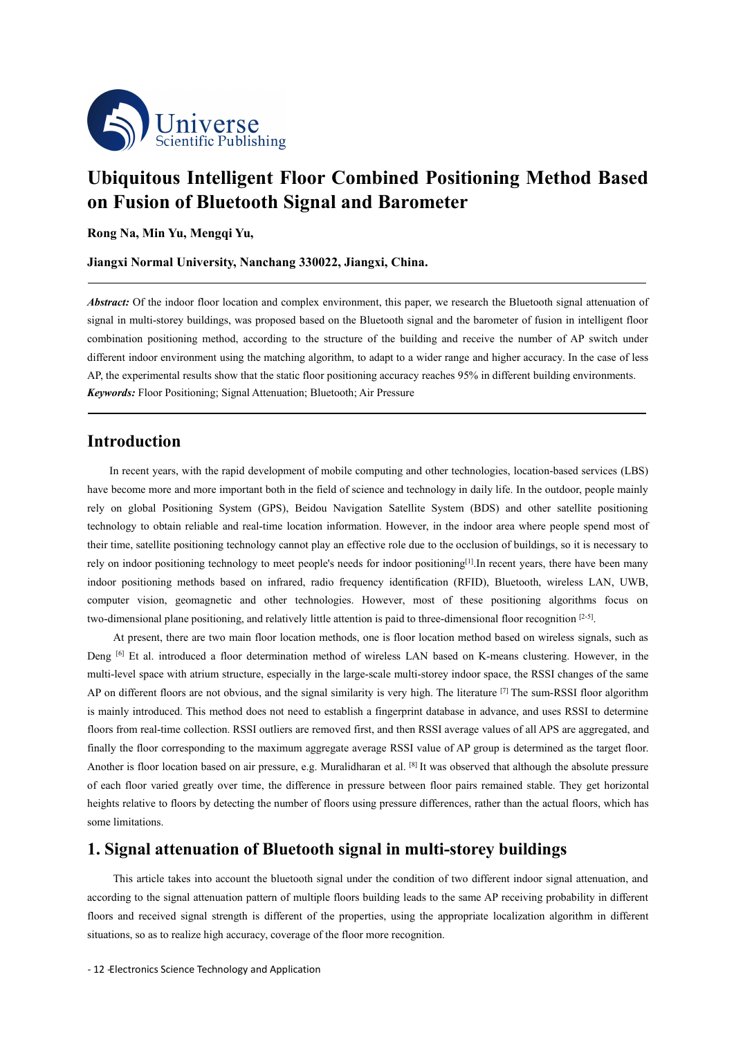

# **Ubiquitous Intelligent Floor Combined Positioning Method Based on Fusion ofBluetooth Signal and Barometer**

**Rong Na, Min Yu, Mengqi Yu,**

**Jiangxi Normal University, Nanchang 330022, Jiangxi, China.**

*Abstract:* Of the indoor floor location and complex environment, this paper, we research the Bluetooth signal attenuation of signal in multi-storey buildings, was proposed based on the Bluetooth signal and the barometer of fusion in intelligent floor combination positioning method, according to the structure of the building and receive the number of AP switch under different indoor environment using the matching algorithm, to adapt to a wider range and higher accuracy. In the case of less AP, the experimental results show that the static floor positioning accuracy reaches 95% in different building environments. *Keywords:* Floor Positioning; Signal Attenuation; Bluetooth; Air Pressure

# **Introduction**

In recent years, with the rapid development of mobile computing and other technologies, location-based services (LBS) have become more and more important both in the field of science and technology in daily life. In the outdoor, people mainly rely on global Positioning System (GPS), Beidou Navigation Satellite System (BDS) andother satellite positioning technology to obtain reliable and real-time location information. However, in the indoor area where people spend most of their time, satellite positioning technology cannot play an effective role due to the occlusion of buildings, so it is necessary to rely on indoor positioning technology to meet people's needs for indoor positioning<sup>[1]</sup>. In recent years, there have been many indoor positioning methods based on infrared, radio frequency identification (RFID), Bluetooth, wireless LAN, UWB, computer vision, geomagnetic and other technologies. However, most of these positioning algorithms focus on two-dimensional plane positioning, and relatively little attention is paid to three-dimensional floor recognition [2-5].

At present, there are two main floor location methods, one is floor location method based on wireless signals, such as Deng <sup>[6]</sup> Et al. introduced a floor determination method of wireless LAN based on K-means clustering. However, in the multi-level space with atrium structure, especially in the large-scale multi-storey indoor space, the RSSI changes of the same AP on different floors are not obvious, and the signal similarity is very high. The literature  $[7]$  The sum-RSSI floor algorithm is mainly introduced. This method does not need to establish a fingerprint database in advance, and uses RSSI to determine floors from real-time collection. RSSI outliers are removed first, and then RSSI average values of all APS are aggregated, and finally the floor corresponding to the maximum aggregate average RSSI value of AP group is determined as the target floor. Another is floor location based on air pressure, e.g. Muralidharan et al. <sup>[8]</sup> It was observed that although the absolute pressure of each floor varied greatly over time, the difference in pressure between floor pairs remained stable. They get horizontal heights relative to floors by detecting the number of floors using pressure differences, rather than the actual floors, which has some limitations.

## **1. Signal attenuation of Bluetooth signal in multi-storey buildings**

This article takes into account the bluetooth signal under the condition of two different indoor signal attenuation, and according to the signal attenuation pattern of multiple floors building leads to the same AP receiving probability in different floors and received signal strength is different of the properties, using the appropriate localization algorithm in different situations, so as to realize high accuracy, coverage of the floor more recognition.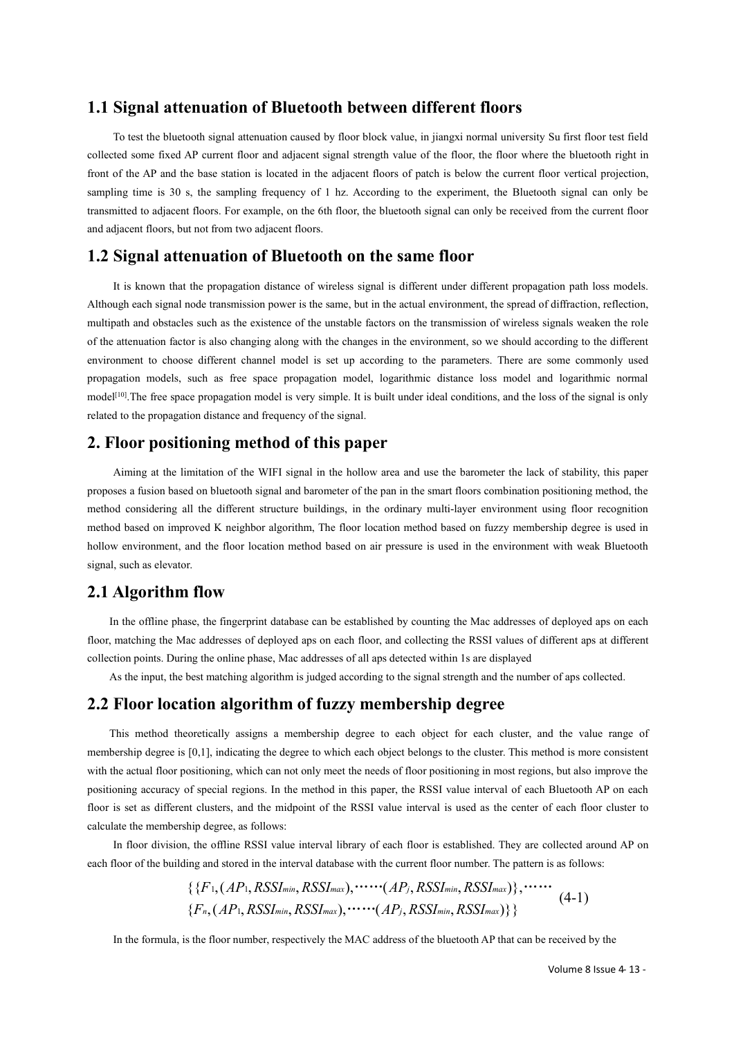#### **1.1 Signal attenuation of Bluetooth between different floors**

To test the bluetooth signal attenuation caused by floor block value, in jiangxi normal university Su first floor test field collected some fixed AP current floor and adjacent signal strength value of the floor, the floor where the bluetooth right in front of the AP and the base station is located in the adjacent floors of patch is below the current floor vertical projection, sampling time is 30 s, the sampling frequency of 1 hz. According to the experiment, the Bluetooth signal can only be transmitted to adjacent floors. For example, on the 6th floor, the bluetooth signal can only be received from the current floor and adjacent floors, but not from two adjacent floors.

## **1.2 Signal attenuation of Bluetooth on the same floor**

It is known that the propagation distance of wireless signal is different under different propagation path loss models. Although each signal node transmission power is the same, but in the actual environment, the spread of diffraction, reflection, multipath and obstacles such as the existence of the unstable factors on the transmission of wireless signals weaken the role of the attenuation factor is also changing along with the changes in the environment, so we should according to the different environment to choose different channel model is set up according to the parameters. There are some commonly used propagation models, such as free space propagation model, logarithmic distance loss model and logarithmic normal model<sup>[10]</sup>. The free space propagation model is very simple. It is built under ideal conditions, and the loss of the signal is only related to the propagation distance and frequency of the signal.

#### **2. Floor positioning method of this paper**

Aiming at the limitation of the WIFI signal in the hollow area and use the barometer the lack of stability, this paper proposes a fusion based on bluetooth signal and barometer of the pan in the smart floors combination positioning method, the method considering all the different structure buildings, in the ordinary multi-layer environment using floor recognition method based on improved K neighbor algorithm, The floor location method based on fuzzy membership degree is used in hollow environment, and the floor location method based on air pressure is used in the environment with weak Bluetooth signal, such as elevator.

# **2.1 Algorithm flow**

In the offline phase, the fingerprint database can be established by counting the Mac addresses of deployed aps on each floor, matching the Mac addresses of deployed aps on each floor, and collecting the RSSI values of different aps at different collection points. During the online phase, Mac addresses ofall aps detected within 1s are displayed

As the input, the best matching algorithm is judged according to the signal strength and the number of aps collected.

# **2.2 Floor location algorithm of fuzzy membership degree**

This method theoretically assigns a membership degree to each object for each cluster, and the value range of membership degree is [0,1], indicating the degree to which each object belongs to the cluster. This method is more consistent with the actual floor positioning, which can not only meet the needs of floor positioning in most regions, but also improve the positioning accuracy of special regions. In the method in this paper, the RSSI value interval of each Bluetooth AP on each floor is set as different clusters, and the midpoint of the RSSI value interval is used as the center of each floor cluster to calculate the membership degree, as follows:

In floor division, the offline RSSI value interval library of each floor is established. They are collected around AP on each floor of the building and stored in the interval database with the current floor number. The pattern is as follows:

$$
\{\{F_1, (AP_1, RSSI_{min}, RSSI_{max}), \cdots \cdots (AP_j, RSSI_{min}, RSSI_{max})\}, \cdots \cdots \atop \{F_n, (AP_1, RSSI_{min}, RSSI_{max}), \cdots \cdots (AP_j, RSSI_{min}, RSSI_{max})\}\}\n \tag{4-1}
$$

In the formula, is the floor number, respectively the MAC address of the bluetooth AP that can be received by the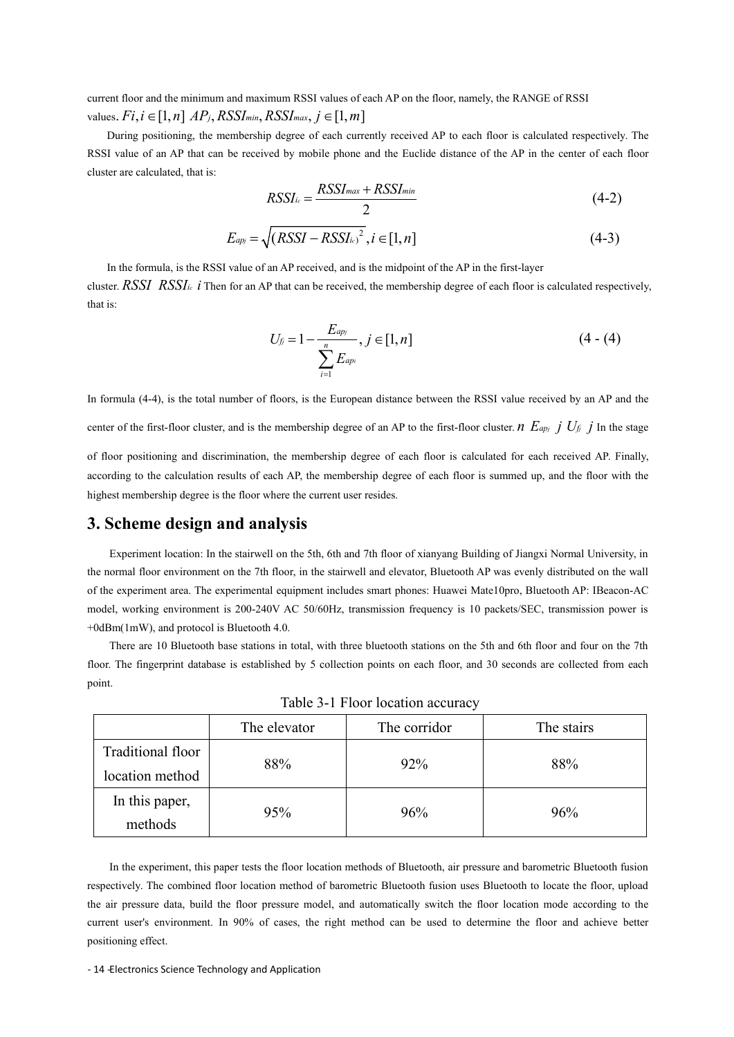current floor and the minimum and maximum RSSI values ofeach AP on the floor, namely, the RANGE of RSSI values.  $Fi, i \in [1, n]$   $AP_j$ ,  $RSSI_{min}$ ,  $RSSI_{max}$ ,  $j \in [1, m]$ 

During positioning, the membership degree of each currently received AP toeach floor is calculated respectively. The RSSI value of an AP that can be received by mobile phone and the Euclide distance of the AP in the center of each floor cluster are calculated, that is:

$$
RSSI_{ic} = \frac{RSSI_{max} + RSSI_{min}}{2}
$$
 (4-2)

$$
E_{apj} = \sqrt{(RSSI - RSSI_{ic})^2}, i \in [1, n]
$$
\n
$$
(4-3)
$$

In the formula, is the RSSI value of an AP received, and is the midpoint of the AP in the first-layer cluster. *RSSI RSSI*<sub>*ic*</sub> *i* Then for an AP that can be received, the membership degree of each floor is calculated respectively, that is:

$$
U_{fj} = 1 - \frac{E_{apj}}{\sum_{i=1}^{n} E_{api}}, j \in [1, n]
$$
 (4 - (4)

In formula (4-4), is the total number of floors, is the European distance between the RSSI value received by an AP and the center of the first-floor cluster, and is the membership degree of an AP to the first-floor cluster. *n*  $E_{apj}$  *j*  $U_{fj}$  *j* In the stage of floor positioning and discrimination, the membership degree of each floor is calculated for each received AP. Finally, according to the calculation results of each AP, the membership degree of each floor is summed up, and the floor with the highest membership degree is the floor where the current user resides.

# **3. Scheme design and analysis**

Experiment location: In the stairwell on the 5th, 6th and 7th floor of xianyang Building of Jiangxi Normal University, in the normal floor environment on the 7th floor, in the stairwell and elevator, Bluetooth AP was evenly distributed on the wall of the experiment area. The experimental equipment includes smart phones: Huawei Mate10pro, Bluetooth AP: IBeacon-AC model, working environment is 200-240V AC 50/60Hz, transmission frequency is 10 packets/SEC, transmission power is +0dBm(1mW), and protocol is Bluetooth 4.0.

There are 10 Bluetooth base stations in total, with three bluetooth stations on the 5th and 6th floor and four on the 7th floor. The fingerprint database is established by 5 collection points on each floor, and 30 seconds are collected from each point.

|                   | The elevator | The corridor | The stairs |
|-------------------|--------------|--------------|------------|
| Traditional floor | 88%          | 92%          | 88%        |
| location method   |              |              |            |
| In this paper,    | 95%          | 96%          | 96%        |
| methods           |              |              |            |

Table 3-1 Floor location accuracy

In the experiment, this paper tests the floor location methods of Bluetooth, air pressure and barometric Bluetooth fusion respectively. The combined floor location method of barometric Bluetooth fusion uses Bluetooth to locate the floor, upload the air pressure data, build the floor pressure model, and automatically switch the floor location mode according to the current user's environment. In 90% of cases, the right method can be used to determine the floor and achieve better positioning effect.

- 14 -Electronics Science Technology and Application